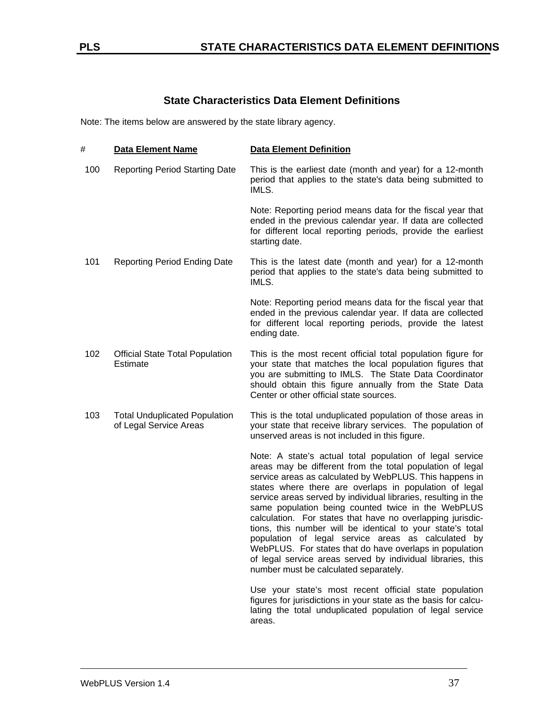## **State Characteristics Data Element Definitions**

Note: The items below are answered by the state library agency.

| #   | <b>Data Element Name</b>                                       | <b>Data Element Definition</b>                                                                                                                                                                                                                                                                                                                                                                                                                                                                                                                                                                                                                                                                                          |
|-----|----------------------------------------------------------------|-------------------------------------------------------------------------------------------------------------------------------------------------------------------------------------------------------------------------------------------------------------------------------------------------------------------------------------------------------------------------------------------------------------------------------------------------------------------------------------------------------------------------------------------------------------------------------------------------------------------------------------------------------------------------------------------------------------------------|
| 100 | <b>Reporting Period Starting Date</b>                          | This is the earliest date (month and year) for a 12-month<br>period that applies to the state's data being submitted to<br>IMLS.                                                                                                                                                                                                                                                                                                                                                                                                                                                                                                                                                                                        |
|     |                                                                | Note: Reporting period means data for the fiscal year that<br>ended in the previous calendar year. If data are collected<br>for different local reporting periods, provide the earliest<br>starting date.                                                                                                                                                                                                                                                                                                                                                                                                                                                                                                               |
| 101 | <b>Reporting Period Ending Date</b>                            | This is the latest date (month and year) for a 12-month<br>period that applies to the state's data being submitted to<br>IMLS.                                                                                                                                                                                                                                                                                                                                                                                                                                                                                                                                                                                          |
|     |                                                                | Note: Reporting period means data for the fiscal year that<br>ended in the previous calendar year. If data are collected<br>for different local reporting periods, provide the latest<br>ending date.                                                                                                                                                                                                                                                                                                                                                                                                                                                                                                                   |
| 102 | <b>Official State Total Population</b><br>Estimate             | This is the most recent official total population figure for<br>your state that matches the local population figures that<br>you are submitting to IMLS. The State Data Coordinator<br>should obtain this figure annually from the State Data<br>Center or other official state sources.                                                                                                                                                                                                                                                                                                                                                                                                                                |
| 103 | <b>Total Unduplicated Population</b><br>of Legal Service Areas | This is the total unduplicated population of those areas in<br>your state that receive library services. The population of<br>unserved areas is not included in this figure.                                                                                                                                                                                                                                                                                                                                                                                                                                                                                                                                            |
|     |                                                                | Note: A state's actual total population of legal service<br>areas may be different from the total population of legal<br>service areas as calculated by WebPLUS. This happens in<br>states where there are overlaps in population of legal<br>service areas served by individual libraries, resulting in the<br>same population being counted twice in the WebPLUS<br>calculation. For states that have no overlapping jurisdic-<br>tions, this number will be identical to your state's total<br>population of legal service areas as calculated by<br>WebPLUS. For states that do have overlaps in population<br>of legal service areas served by individual libraries, this<br>number must be calculated separately. |
|     |                                                                | Use your state's most recent official state population<br>figures for jurisdictions in your state as the basis for calcu-<br>lating the total unduplicated population of legal service<br>areas.                                                                                                                                                                                                                                                                                                                                                                                                                                                                                                                        |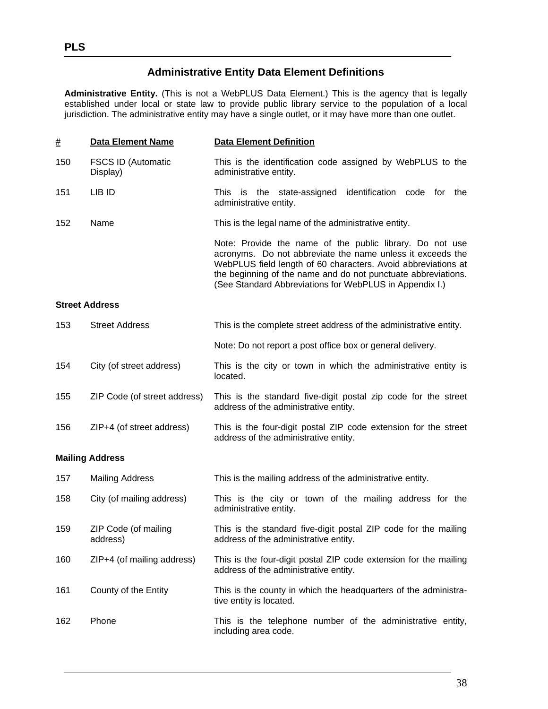### **Administrative Entity Data Element Definitions**

**Administrative Entity.** (This is not a WebPLUS Data Element.) This is the agency that is legally established under local or state law to provide public library service to the population of a local jurisdiction. The administrative entity may have a single outlet, or it may have more than one outlet.

| #   | <b>Data Element Name</b>              | <b>Data Element Definition</b>                                                                                                                                                                                                                                                                                      |
|-----|---------------------------------------|---------------------------------------------------------------------------------------------------------------------------------------------------------------------------------------------------------------------------------------------------------------------------------------------------------------------|
| 150 | <b>FSCS ID (Automatic</b><br>Display) | This is the identification code assigned by WebPLUS to the<br>administrative entity.                                                                                                                                                                                                                                |
| 151 | LIB ID                                | This is the state-assigned identification<br>code<br>for<br>the<br>administrative entity.                                                                                                                                                                                                                           |
| 152 | Name                                  | This is the legal name of the administrative entity.                                                                                                                                                                                                                                                                |
|     |                                       | Note: Provide the name of the public library. Do not use<br>acronyms. Do not abbreviate the name unless it exceeds the<br>WebPLUS field length of 60 characters. Avoid abbreviations at<br>the beginning of the name and do not punctuate abbreviations.<br>(See Standard Abbreviations for WebPLUS in Appendix I.) |
|     | <b>Street Address</b>                 |                                                                                                                                                                                                                                                                                                                     |

# 153 Street Address This is the complete street address of the administrative entity. Note: Do not report a post office box or general delivery. 154 City (of street address) This is the city or town in which the administrative entity is located. 155 ZIP Code (of street address) This is the standard five-digit postal zip code for the street address of the administrative entity. 156 ZIP+4 (of street address) This is the four-digit postal ZIP code extension for the street address of the administrative entity.

#### **Mailing Address**

| 157 | <b>Mailing Address</b>           | This is the mailing address of the administrative entity.                                                 |
|-----|----------------------------------|-----------------------------------------------------------------------------------------------------------|
| 158 | City (of mailing address)        | This is the city or town of the mailing address for the<br>administrative entity.                         |
| 159 | ZIP Code (of mailing<br>address) | This is the standard five-digit postal ZIP code for the mailing<br>address of the administrative entity.  |
| 160 | $ZIP+4$ (of mailing address)     | This is the four-digit postal ZIP code extension for the mailing<br>address of the administrative entity. |
| 161 | County of the Entity             | This is the county in which the headquarters of the administra-<br>tive entity is located.                |
| 162 | Phone                            | This is the telephone number of the administrative entity,<br>including area code.                        |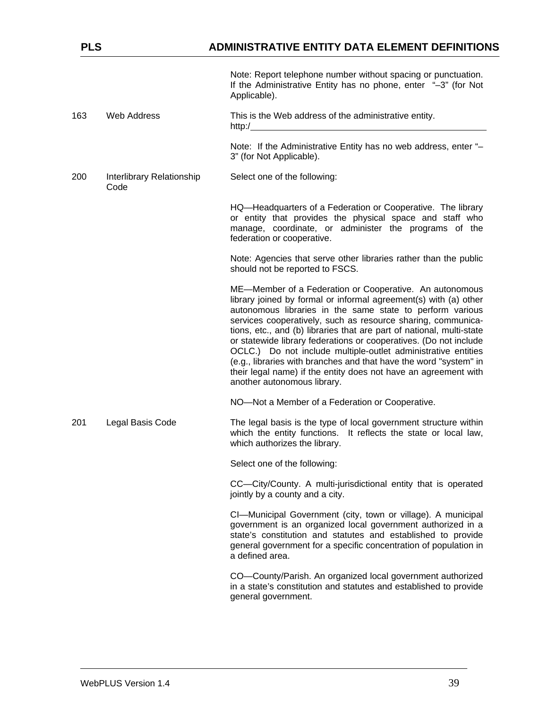Note: Report telephone number without spacing or punctuation. If the Administrative Entity has no phone, enter "–3" (for Not Applicable).

163 Web Address This is the Web address of the administrative entity. http:/

> Note: If the Administrative Entity has no web address, enter "– 3" (for Not Applicable).

200 Interlibrary Relationship Code Select one of the following:

> HQ—Headquarters of a Federation or Cooperative. The library or entity that provides the physical space and staff who manage, coordinate, or administer the programs of the federation or cooperative.

> Note: Agencies that serve other libraries rather than the public should not be reported to FSCS.

> ME—Member of a Federation or Cooperative. An autonomous library joined by formal or informal agreement(s) with (a) other autonomous libraries in the same state to perform various services cooperatively, such as resource sharing, communications, etc., and (b) libraries that are part of national, multi-state or statewide library federations or cooperatives. (Do not include OCLC.) Do not include multiple-outlet administrative entities (e.g., libraries with branches and that have the word "system" in their legal name) if the entity does not have an agreement with another autonomous library.

NO—Not a Member of a Federation or Cooperative.

201 Legal Basis Code The legal basis is the type of local government structure within which the entity functions. It reflects the state or local law, which authorizes the library.

Select one of the following:

CC—City/County. A multi-jurisdictional entity that is operated jointly by a county and a city.

CI—Municipal Government (city, town or village). A municipal government is an organized local government authorized in a state's constitution and statutes and established to provide general government for a specific concentration of population in a defined area.

CO—County/Parish. An organized local government authorized in a state's constitution and statutes and established to provide general government.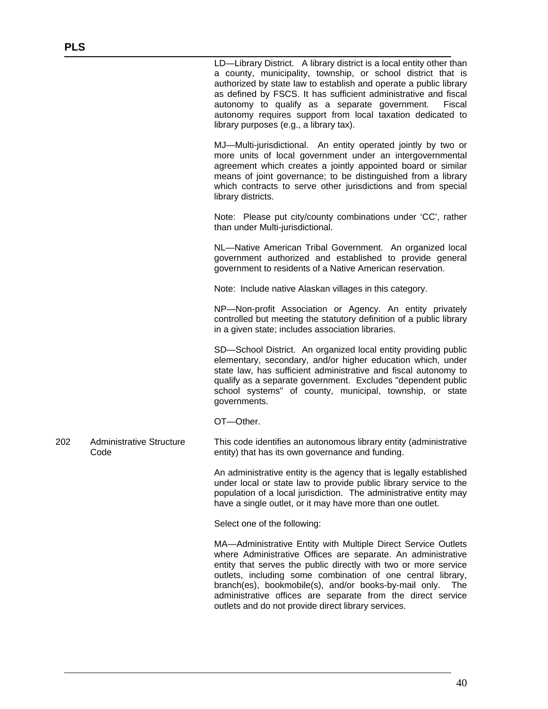LD—Library District. A library district is a local entity other than a county, municipality, township, or school district that is authorized by state law to establish and operate a public library as defined by FSCS. It has sufficient administrative and fiscal autonomy to qualify as a separate government. Fiscal autonomy requires support from local taxation dedicated to library purposes (e.g., a library tax).

MJ—Multi-jurisdictional. An entity operated jointly by two or more units of local government under an intergovernmental agreement which creates a jointly appointed board or similar means of joint governance; to be distinguished from a library which contracts to serve other jurisdictions and from special library districts.

Note: Please put city/county combinations under 'CC', rather than under Multi-jurisdictional.

NL—Native American Tribal Government. An organized local government authorized and established to provide general government to residents of a Native American reservation.

Note: Include native Alaskan villages in this category.

NP—Non-profit Association or Agency. An entity privately controlled but meeting the statutory definition of a public library in a given state; includes association libraries.

SD—School District. An organized local entity providing public elementary, secondary, and/or higher education which, under state law, has sufficient administrative and fiscal autonomy to qualify as a separate government. Excludes "dependent public school systems" of county, municipal, township, or state governments.

OT—Other.

202 Administrative Structure Code This code identifies an autonomous library entity (administrative entity) that has its own governance and funding.

> An administrative entity is the agency that is legally established under local or state law to provide public library service to the population of a local jurisdiction. The administrative entity may have a single outlet, or it may have more than one outlet.

Select one of the following:

MA—Administrative Entity with Multiple Direct Service Outlets where Administrative Offices are separate. An administrative entity that serves the public directly with two or more service outlets, including some combination of one central library, branch(es), bookmobile(s), and/or books-by-mail only. The administrative offices are separate from the direct service outlets and do not provide direct library services.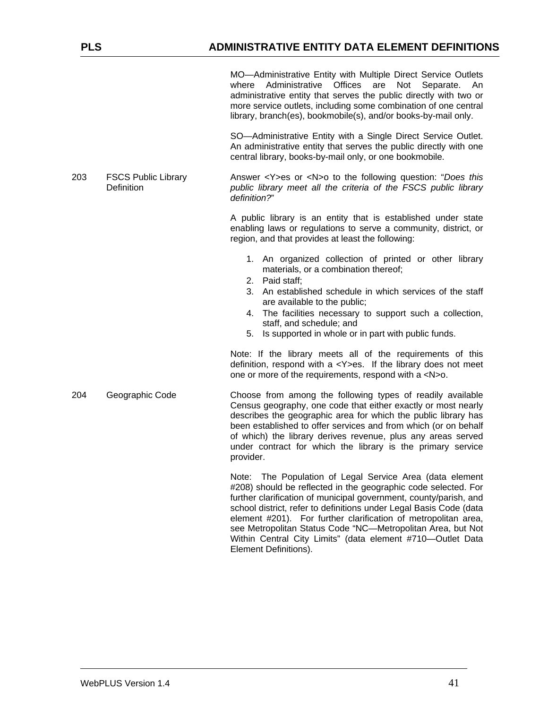MO—Administrative Entity with Multiple Direct Service Outlets where Administrative Offices are Not Separate. An administrative entity that serves the public directly with two or more service outlets, including some combination of one central library, branch(es), bookmobile(s), and/or books-by-mail only.

SO—Administrative Entity with a Single Direct Service Outlet. An administrative entity that serves the public directly with one central library, books-by-mail only, or one bookmobile.

203 FSCS Public Library **Definition** Answer <Y>es or <N>o to the following question: "*Does this public library meet all the criteria of the FSCS public library definition?*"

> A public library is an entity that is established under state enabling laws or regulations to serve a community, district, or region, and that provides at least the following:

- 1. An organized collection of printed or other library materials, or a combination thereof;
- 2. Paid staff;
- 3. An established schedule in which services of the staff are available to the public;
- 4. The facilities necessary to support such a collection, staff, and schedule; and
- 5. Is supported in whole or in part with public funds.

Note: If the library meets all of the requirements of this definition, respond with a <Y>es. If the library does not meet one or more of the requirements, respond with a <N>o.

204 Geographic Code Choose from among the following types of readily available Census geography, one code that either exactly or most nearly describes the geographic area for which the public library has been established to offer services and from which (or on behalf of which) the library derives revenue, plus any areas served under contract for which the library is the primary service provider.

> Note: The Population of Legal Service Area (data element #208) should be reflected in the geographic code selected. For further clarification of municipal government, county/parish, and school district, refer to definitions under Legal Basis Code (data element #201). For further clarification of metropolitan area, see Metropolitan Status Code "NC—Metropolitan Area, but Not Within Central City Limits" (data element #710—Outlet Data Element Definitions).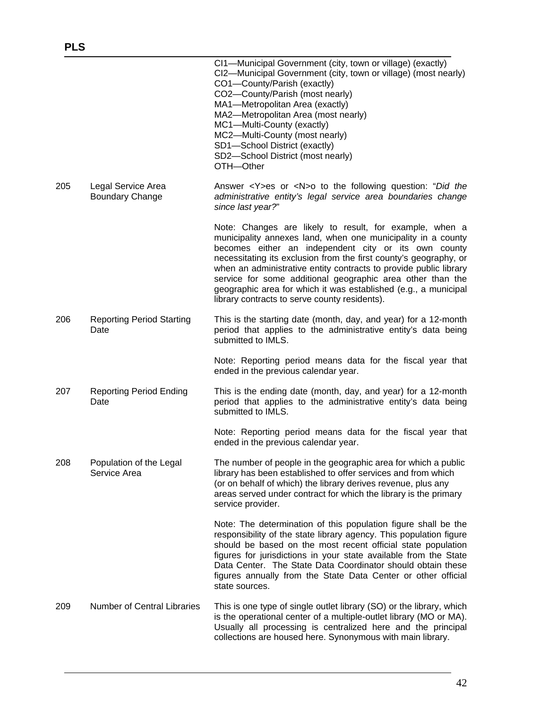|     |                                              | CI1-Municipal Government (city, town or village) (exactly)<br>CI2-Municipal Government (city, town or village) (most nearly)<br>CO1-County/Parish (exactly)<br>CO2-County/Parish (most nearly)<br>MA1-Metropolitan Area (exactly)<br>MA2-Metropolitan Area (most nearly)<br>MC1-Multi-County (exactly)<br>MC2-Multi-County (most nearly)<br>SD1-School District (exactly)<br>SD2-School District (most nearly)<br>OTH-Other                                                                                 |
|-----|----------------------------------------------|-------------------------------------------------------------------------------------------------------------------------------------------------------------------------------------------------------------------------------------------------------------------------------------------------------------------------------------------------------------------------------------------------------------------------------------------------------------------------------------------------------------|
| 205 | Legal Service Area<br><b>Boundary Change</b> | Answer <y>es or <n>o to the following question: "Did the<br/>administrative entity's legal service area boundaries change<br/>since last year?"</n></y>                                                                                                                                                                                                                                                                                                                                                     |
|     |                                              | Note: Changes are likely to result, for example, when a<br>municipality annexes land, when one municipality in a county<br>becomes either an independent city or its own county<br>necessitating its exclusion from the first county's geography, or<br>when an administrative entity contracts to provide public library<br>service for some additional geographic area other than the<br>geographic area for which it was established (e.g., a municipal<br>library contracts to serve county residents). |
| 206 | <b>Reporting Period Starting</b><br>Date     | This is the starting date (month, day, and year) for a 12-month<br>period that applies to the administrative entity's data being<br>submitted to IMLS.                                                                                                                                                                                                                                                                                                                                                      |
|     |                                              | Note: Reporting period means data for the fiscal year that<br>ended in the previous calendar year.                                                                                                                                                                                                                                                                                                                                                                                                          |
| 207 | <b>Reporting Period Ending</b><br>Date       | This is the ending date (month, day, and year) for a 12-month<br>period that applies to the administrative entity's data being<br>submitted to IMLS.                                                                                                                                                                                                                                                                                                                                                        |
|     |                                              | Note: Reporting period means data for the fiscal year that<br>ended in the previous calendar year.                                                                                                                                                                                                                                                                                                                                                                                                          |
| 208 | Population of the Legal<br>Service Area      | The number of people in the geographic area for which a public<br>library has been established to offer services and from which<br>(or on behalf of which) the library derives revenue, plus any<br>areas served under contract for which the library is the primary<br>service provider.                                                                                                                                                                                                                   |
|     |                                              | Note: The determination of this population figure shall be the<br>responsibility of the state library agency. This population figure<br>should be based on the most recent official state population<br>figures for jurisdictions in your state available from the State<br>Data Center. The State Data Coordinator should obtain these<br>figures annually from the State Data Center or other official<br>state sources.                                                                                  |
| 209 | <b>Number of Central Libraries</b>           | This is one type of single outlet library (SO) or the library, which<br>is the operational center of a multiple-outlet library (MO or MA).<br>Usually all processing is centralized here and the principal<br>collections are housed here. Synonymous with main library.                                                                                                                                                                                                                                    |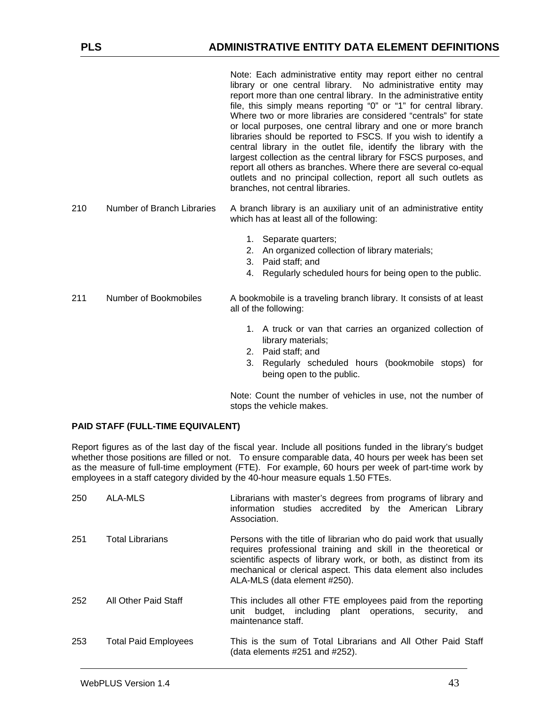Note: Each administrative entity may report either no central library or one central library. No administrative entity may report more than one central library. In the administrative entity file, this simply means reporting "0" or "1" for central library. Where two or more libraries are considered "centrals" for state or local purposes, one central library and one or more branch libraries should be reported to FSCS. If you wish to identify a central library in the outlet file, identify the library with the largest collection as the central library for FSCS purposes, and report all others as branches. Where there are several co-equal outlets and no principal collection, report all such outlets as branches, not central libraries.

- 210 Number of Branch Libraries A branch library is an auxiliary unit of an administrative entity which has at least all of the following:
	- 1. Separate quarters;
	- 2. An organized collection of library materials;
	- 3. Paid staff; and
	- 4. Regularly scheduled hours for being open to the public.
- 211 Number of Bookmobiles A bookmobile is a traveling branch library. It consists of at least all of the following:
	- 1. A truck or van that carries an organized collection of library materials;
	- 2. Paid staff; and
	- 3. Regularly scheduled hours (bookmobile stops) for being open to the public.

Note: Count the number of vehicles in use, not the number of stops the vehicle makes.

#### **PAID STAFF (FULL-TIME EQUIVALENT)**

Report figures as of the last day of the fiscal year. Include all positions funded in the library's budget whether those positions are filled or not. To ensure comparable data, 40 hours per week has been set as the measure of full-time employment (FTE). For example, 60 hours per week of part-time work by employees in a staff category divided by the 40-hour measure equals 1.50 FTEs.

| 250 | ALA-MLS                     | Librarians with master's degrees from programs of library and<br>information studies accredited by the American Library<br>Association.                                                                                                                                                                    |
|-----|-----------------------------|------------------------------------------------------------------------------------------------------------------------------------------------------------------------------------------------------------------------------------------------------------------------------------------------------------|
| 251 | <b>Total Librarians</b>     | Persons with the title of librarian who do paid work that usually<br>requires professional training and skill in the theoretical or<br>scientific aspects of library work, or both, as distinct from its<br>mechanical or clerical aspect. This data element also includes<br>ALA-MLS (data element #250). |
| 252 | All Other Paid Staff        | This includes all other FTE employees paid from the reporting<br>unit budget, including plant operations, security,<br>and<br>maintenance staff.                                                                                                                                                           |
| 253 | <b>Total Paid Employees</b> | This is the sum of Total Librarians and All Other Paid Staff<br>(data elements #251 and #252).                                                                                                                                                                                                             |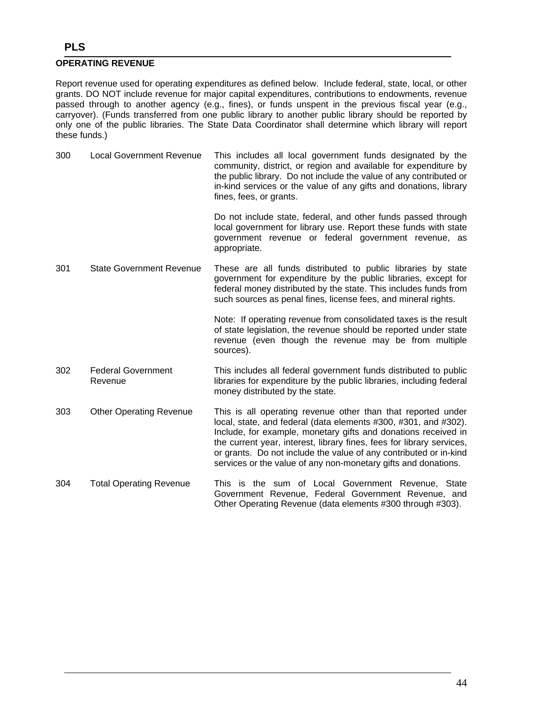#### **OPERATING REVENUE**

Report revenue used for operating expenditures as defined below. Include federal, state, local, or other grants. DO NOT include revenue for major capital expenditures, contributions to endowments, revenue passed through to another agency (e.g., fines), or funds unspent in the previous fiscal year (e.g., carryover). (Funds transferred from one public library to another public library should be reported by only one of the public libraries. The State Data Coordinator shall determine which library will report these funds.)

300 Local Government Revenue This includes all local government funds designated by the community, district, or region and available for expenditure by the public library. Do not include the value of any contributed or in-kind services or the value of any gifts and donations, library fines, fees, or grants.

> Do not include state, federal, and other funds passed through local government for library use. Report these funds with state government revenue or federal government revenue, as appropriate.

301 State Government Revenue These are all funds distributed to public libraries by state government for expenditure by the public libraries, except for federal money distributed by the state. This includes funds from such sources as penal fines, license fees, and mineral rights.

> Note: If operating revenue from consolidated taxes is the result of state legislation, the revenue should be reported under state revenue (even though the revenue may be from multiple sources).

- 302 Federal Government Revenue This includes all federal government funds distributed to public libraries for expenditure by the public libraries, including federal money distributed by the state.
- 303 Other Operating Revenue This is all operating revenue other than that reported under local, state, and federal (data elements #300, #301, and #302). Include, for example, monetary gifts and donations received in the current year, interest, library fines, fees for library services, or grants. Do not include the value of any contributed or in-kind services or the value of any non-monetary gifts and donations.
- 304 Total Operating Revenue This is the sum of Local Government Revenue, State Government Revenue, Federal Government Revenue, and Other Operating Revenue (data elements #300 through #303).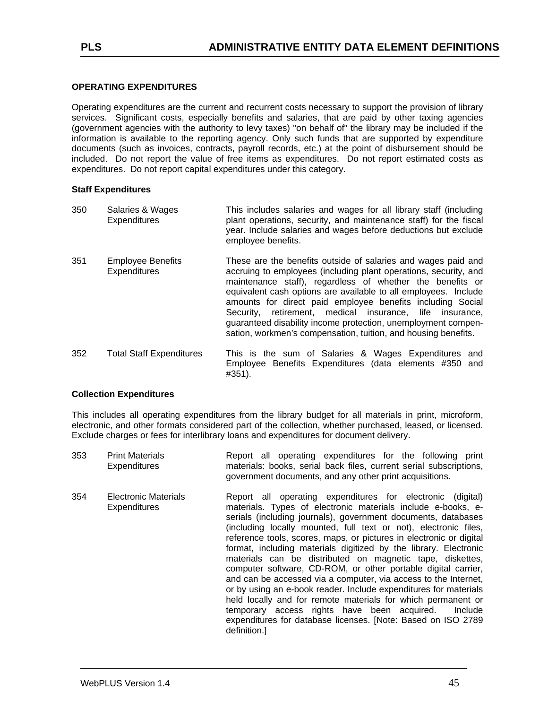#### **OPERATING EXPENDITURES**

Operating expenditures are the current and recurrent costs necessary to support the provision of library services. Significant costs, especially benefits and salaries, that are paid by other taxing agencies (government agencies with the authority to levy taxes) "on behalf of" the library may be included if the information is available to the reporting agency. Only such funds that are supported by expenditure documents (such as invoices, contracts, payroll records, etc.) at the point of disbursement should be included. Do not report the value of free items as expenditures. Do not report estimated costs as expenditures. Do not report capital expenditures under this category.

#### **Staff Expenditures**

| 350 | Salaries & Wages<br><b>Expenditures</b>         | This includes salaries and wages for all library staff (including<br>plant operations, security, and maintenance staff) for the fiscal<br>year. Include salaries and wages before deductions but exclude<br>employee benefits.                                                                                                                                                                                                                                                                                                    |
|-----|-------------------------------------------------|-----------------------------------------------------------------------------------------------------------------------------------------------------------------------------------------------------------------------------------------------------------------------------------------------------------------------------------------------------------------------------------------------------------------------------------------------------------------------------------------------------------------------------------|
| 351 | <b>Employee Benefits</b><br><b>Expenditures</b> | These are the benefits outside of salaries and wages paid and<br>accruing to employees (including plant operations, security, and<br>maintenance staff), regardless of whether the benefits or<br>equivalent cash options are available to all employees. Include<br>amounts for direct paid employee benefits including Social<br>retirement, medical insurance, life insurance,<br>Security.<br>guaranteed disability income protection, unemployment compen-<br>sation, workmen's compensation, tuition, and housing benefits. |
| 352 | <b>Total Staff Expenditures</b>                 | This is the sum of Salaries & Wages Expenditures and<br>Employee Benefits Expenditures (data elements #350 and<br>#351).                                                                                                                                                                                                                                                                                                                                                                                                          |

#### **Collection Expenditures**

This includes all operating expenditures from the library budget for all materials in print, microform, electronic, and other formats considered part of the collection, whether purchased, leased, or licensed. Exclude charges or fees for interlibrary loans and expenditures for document delivery.

- 353 Print Materials **Expenditures** Report all operating expenditures for the following print materials: books, serial back files, current serial subscriptions, government documents, and any other print acquisitions.
- 354 Electronic Materials **Expenditures** Report all operating expenditures for electronic (digital) materials. Types of electronic materials include e-books, eserials (including journals), government documents, databases (including locally mounted, full text or not), electronic files, reference tools, scores, maps, or pictures in electronic or digital format, including materials digitized by the library. Electronic materials can be distributed on magnetic tape, diskettes, computer software, CD-ROM, or other portable digital carrier, and can be accessed via a computer, via access to the Internet, or by using an e-book reader. Include expenditures for materials held locally and for remote materials for which permanent or temporary access rights have been acquired. Include expenditures for database licenses. [Note: Based on ISO 2789 definition.]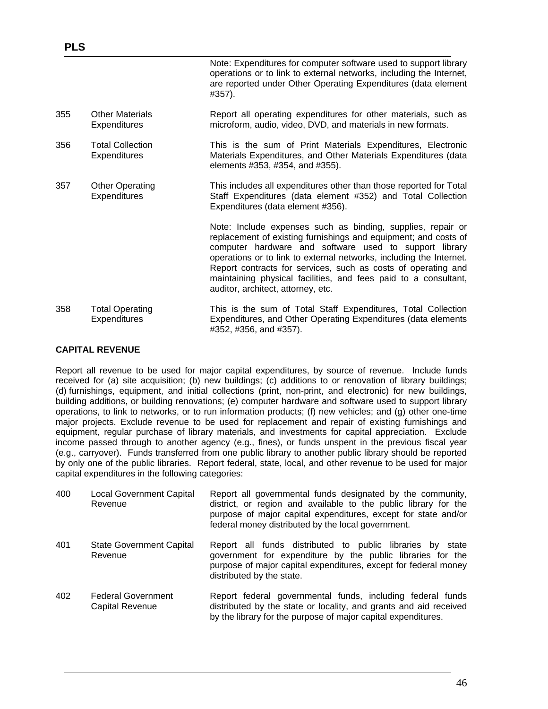|     |                                                | Note: Expenditures for computer software used to support library<br>operations or to link to external networks, including the Internet,<br>are reported under Other Operating Expenditures (data element<br>#357).                                                                                                                                                                                                                        |
|-----|------------------------------------------------|-------------------------------------------------------------------------------------------------------------------------------------------------------------------------------------------------------------------------------------------------------------------------------------------------------------------------------------------------------------------------------------------------------------------------------------------|
| 355 | <b>Other Materials</b><br><b>Expenditures</b>  | Report all operating expenditures for other materials, such as<br>microform, audio, video, DVD, and materials in new formats.                                                                                                                                                                                                                                                                                                             |
| 356 | <b>Total Collection</b><br><b>Expenditures</b> | This is the sum of Print Materials Expenditures, Electronic<br>Materials Expenditures, and Other Materials Expenditures (data<br>elements #353, #354, and #355).                                                                                                                                                                                                                                                                          |
| 357 | <b>Other Operating</b><br><b>Expenditures</b>  | This includes all expenditures other than those reported for Total<br>Staff Expenditures (data element #352) and Total Collection<br>Expenditures (data element #356).                                                                                                                                                                                                                                                                    |
|     |                                                | Note: Include expenses such as binding, supplies, repair or<br>replacement of existing furnishings and equipment; and costs of<br>computer hardware and software used to support library<br>operations or to link to external networks, including the Internet.<br>Report contracts for services, such as costs of operating and<br>maintaining physical facilities, and fees paid to a consultant,<br>auditor, architect, attorney, etc. |
| 358 | <b>Total Operating</b><br><b>Expenditures</b>  | This is the sum of Total Staff Expenditures, Total Collection<br>Expenditures, and Other Operating Expenditures (data elements<br>#352, #356, and #357).                                                                                                                                                                                                                                                                                  |

#### **CAPITAL REVENUE**

**PLS** 

Report all revenue to be used for major capital expenditures, by source of revenue. Include funds received for (a) site acquisition; (b) new buildings; (c) additions to or renovation of library buildings; (d) furnishings, equipment, and initial collections (print, non-print, and electronic) for new buildings, building additions, or building renovations; (e) computer hardware and software used to support library operations, to link to networks, or to run information products; (f) new vehicles; and (g) other one-time major projects. Exclude revenue to be used for replacement and repair of existing furnishings and equipment, regular purchase of library materials, and investments for capital appreciation. Exclude income passed through to another agency (e.g., fines), or funds unspent in the previous fiscal year (e.g., carryover). Funds transferred from one public library to another public library should be reported by only one of the public libraries. Report federal, state, local, and other revenue to be used for major capital expenditures in the following categories:

| 400 | Local Government Capital<br>Revenue          | Report all governmental funds designated by the community,<br>district, or region and available to the public library for the<br>purpose of major capital expenditures, except for state and/or<br>federal money distributed by the local government. |
|-----|----------------------------------------------|-------------------------------------------------------------------------------------------------------------------------------------------------------------------------------------------------------------------------------------------------------|
| 401 | <b>State Government Capital</b><br>Revenue   | Report all funds distributed to public libraries by state<br>government for expenditure by the public libraries for the<br>purpose of major capital expenditures, except for federal money<br>distributed by the state.                               |
| 402 | <b>Federal Government</b><br>Capital Revenue | Report federal governmental funds, including federal funds<br>distributed by the state or locality, and grants and aid received<br>by the library for the purpose of major capital expenditures.                                                      |

46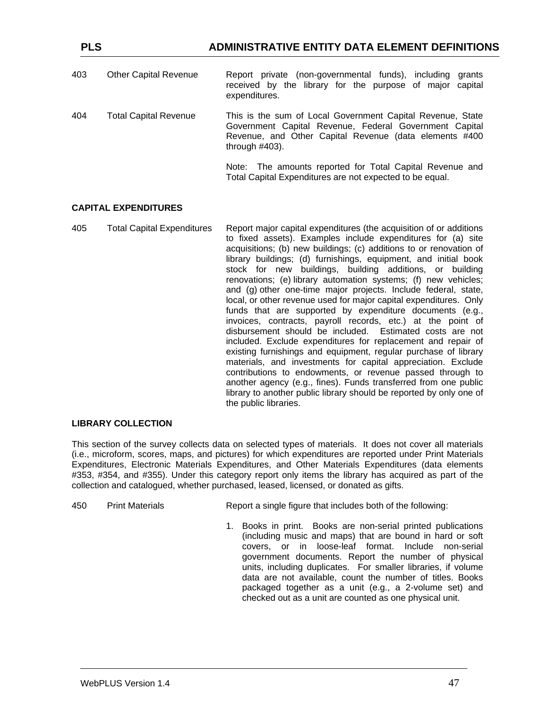| 403 | <b>Other Capital Revenue</b> | Report private (non-governmental funds), including<br>arants<br>received by the library for the purpose of major capital<br>expenditures.                                                           |
|-----|------------------------------|-----------------------------------------------------------------------------------------------------------------------------------------------------------------------------------------------------|
| 404 | <b>Total Capital Revenue</b> | This is the sum of Local Government Capital Revenue, State<br>Government Capital Revenue, Federal Government Capital<br>Revenue, and Other Capital Revenue (data elements #400<br>through $#403$ ). |
|     |                              | Note: The amounts reported for Total Capital Revenue and<br>Total Capital Expenditures are not expected to be equal.                                                                                |

#### **CAPITAL EXPENDITURES**

405 Total Capital Expenditures Report major capital expenditures (the acquisition of or additions to fixed assets). Examples include expenditures for (a) site acquisitions; (b) new buildings; (c) additions to or renovation of library buildings; (d) furnishings, equipment, and initial book stock for new buildings, building additions, or building renovations; (e) library automation systems; (f) new vehicles; and (g) other one-time major projects. Include federal, state, local, or other revenue used for major capital expenditures. Only funds that are supported by expenditure documents (e.g., invoices, contracts, payroll records, etc.) at the point of disbursement should be included. Estimated costs are not included. Exclude expenditures for replacement and repair of existing furnishings and equipment, regular purchase of library materials, and investments for capital appreciation. Exclude contributions to endowments, or revenue passed through to another agency (e.g., fines). Funds transferred from one public library to another public library should be reported by only one of the public libraries.

#### **LIBRARY COLLECTION**

This section of the survey collects data on selected types of materials. It does not cover all materials (i.e., microform, scores, maps, and pictures) for which expenditures are reported under Print Materials Expenditures, Electronic Materials Expenditures, and Other Materials Expenditures (data elements #353, #354, and #355). Under this category report only items the library has acquired as part of the collection and catalogued, whether purchased, leased, licensed, or donated as gifts.

| 450 | <b>Print Materials</b> | Report a single figure that includes both of the following: |
|-----|------------------------|-------------------------------------------------------------|
|-----|------------------------|-------------------------------------------------------------|

1. Books in print. Books are non-serial printed publications (including music and maps) that are bound in hard or soft covers, or in loose-leaf format. Include non-serial government documents. Report the number of physical units, including duplicates. For smaller libraries, if volume data are not available, count the number of titles. Books packaged together as a unit (e.g., a 2-volume set) and checked out as a unit are counted as one physical unit.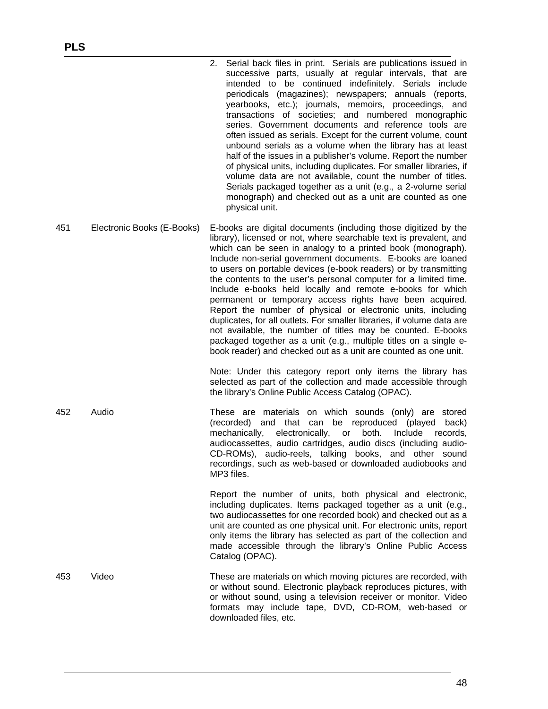|     |                            | 2. Serial back files in print. Serials are publications issued in<br>successive parts, usually at regular intervals, that are<br>intended to be continued indefinitely. Serials include<br>periodicals (magazines); newspapers; annuals (reports,<br>yearbooks, etc.); journals, memoirs, proceedings, and<br>transactions of societies; and numbered monographic<br>series. Government documents and reference tools are<br>often issued as serials. Except for the current volume, count<br>unbound serials as a volume when the library has at least<br>half of the issues in a publisher's volume. Report the number<br>of physical units, including duplicates. For smaller libraries, if<br>volume data are not available, count the number of titles.<br>Serials packaged together as a unit (e.g., a 2-volume serial<br>monograph) and checked out as a unit are counted as one<br>physical unit. |
|-----|----------------------------|-----------------------------------------------------------------------------------------------------------------------------------------------------------------------------------------------------------------------------------------------------------------------------------------------------------------------------------------------------------------------------------------------------------------------------------------------------------------------------------------------------------------------------------------------------------------------------------------------------------------------------------------------------------------------------------------------------------------------------------------------------------------------------------------------------------------------------------------------------------------------------------------------------------|
| 451 | Electronic Books (E-Books) | E-books are digital documents (including those digitized by the<br>library), licensed or not, where searchable text is prevalent, and<br>which can be seen in analogy to a printed book (monograph).<br>Include non-serial government documents. E-books are loaned<br>to users on portable devices (e-book readers) or by transmitting<br>the contents to the user's personal computer for a limited time.<br>Include e-books held locally and remote e-books for which<br>permanent or temporary access rights have been acquired.<br>Report the number of physical or electronic units, including<br>duplicates, for all outlets. For smaller libraries, if volume data are<br>not available, the number of titles may be counted. E-books<br>packaged together as a unit (e.g., multiple titles on a single e-<br>book reader) and checked out as a unit are counted as one unit.                     |
|     |                            | Note: Under this category report only items the library has<br>selected as part of the collection and made accessible through<br>the library's Online Public Access Catalog (OPAC).                                                                                                                                                                                                                                                                                                                                                                                                                                                                                                                                                                                                                                                                                                                       |
| 452 | Audio                      | These are materials on which sounds (only) are stored<br>(recorded) and that can be reproduced (played<br>back)<br>electronically, or<br>both.<br>Include records,<br>mechanically,<br>audiocassettes, audio cartridges, audio discs (including audio-<br>CD-ROMs), audio-reels, talking books, and other sound<br>recordings, such as web-based or downloaded audiobooks and<br>MP3 files.                                                                                                                                                                                                                                                                                                                                                                                                                                                                                                               |
|     |                            | Report the number of units, both physical and electronic,<br>including duplicates. Items packaged together as a unit (e.g.,<br>two audiocassettes for one recorded book) and checked out as a<br>unit are counted as one physical unit. For electronic units, report<br>only items the library has selected as part of the collection and<br>made accessible through the library's Online Public Access<br>Catalog (OPAC).                                                                                                                                                                                                                                                                                                                                                                                                                                                                                |
| 453 | Video                      | These are materials on which moving pictures are recorded, with<br>or without sound. Electronic playback reproduces pictures, with<br>or without sound, using a television receiver or monitor. Video<br>formats may include tape, DVD, CD-ROM, web-based or<br>downloaded files, etc.                                                                                                                                                                                                                                                                                                                                                                                                                                                                                                                                                                                                                    |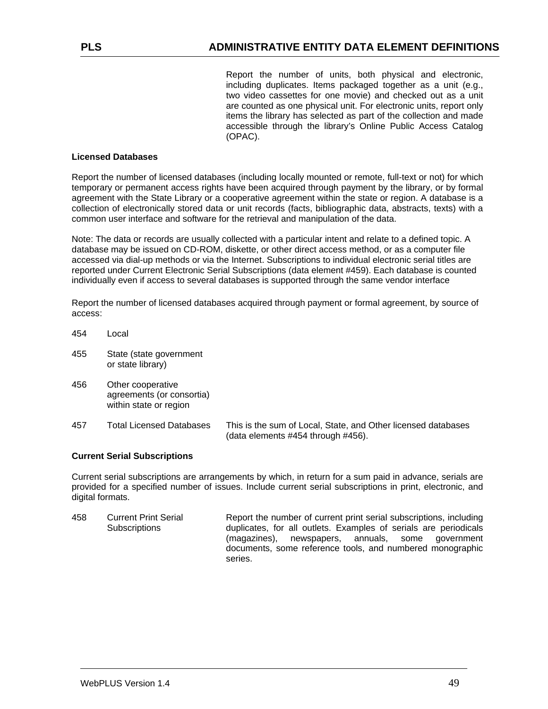Report the number of units, both physical and electronic, including duplicates. Items packaged together as a unit (e.g., two video cassettes for one movie) and checked out as a unit are counted as one physical unit. For electronic units, report only items the library has selected as part of the collection and made accessible through the library's Online Public Access Catalog (OPAC).

#### **Licensed Databases**

Report the number of licensed databases (including locally mounted or remote, full-text or not) for which temporary or permanent access rights have been acquired through payment by the library, or by formal agreement with the State Library or a cooperative agreement within the state or region. A database is a collection of electronically stored data or unit records (facts, bibliographic data, abstracts, texts) with a common user interface and software for the retrieval and manipulation of the data.

Note: The data or records are usually collected with a particular intent and relate to a defined topic. A database may be issued on CD-ROM, diskette, or other direct access method, or as a computer file accessed via dial-up methods or via the Internet. Subscriptions to individual electronic serial titles are reported under Current Electronic Serial Subscriptions (data element #459). Each database is counted individually even if access to several databases is supported through the same vendor interface

Report the number of licensed databases acquired through payment or formal agreement, by source of access:

- 454 Local
- 455 State (state government or state library)
- 456 Other cooperative agreements (or consortia) within state or region
- 457 Total Licensed Databases This is the sum of Local, State, and Other licensed databases (data elements #454 through #456).

#### **Current Serial Subscriptions**

Current serial subscriptions are arrangements by which, in return for a sum paid in advance, serials are provided for a specified number of issues. Include current serial subscriptions in print, electronic, and digital formats.

458 Current Print Serial **Subscriptions** Report the number of current print serial subscriptions, including duplicates, for all outlets. Examples of serials are periodicals (magazines), newspapers, annuals, some government documents, some reference tools, and numbered monographic series.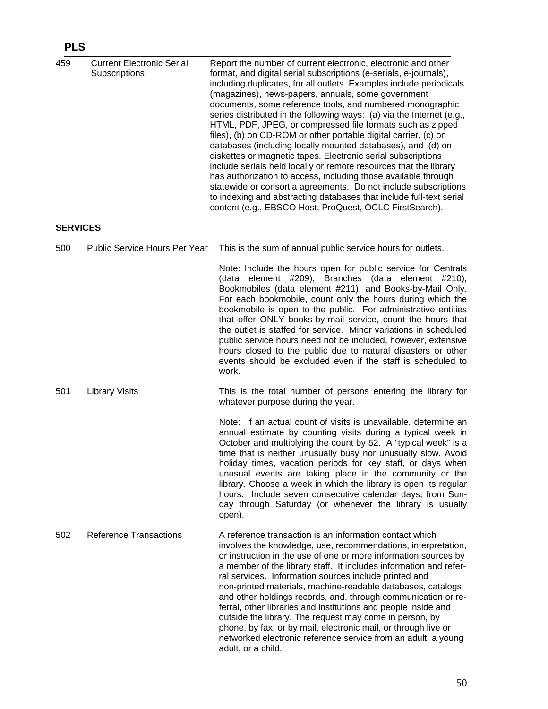# **PLS**

| 459             | <b>Current Electronic Serial</b><br>Subscriptions | Report the number of current electronic, electronic and other<br>format, and digital serial subscriptions (e-serials, e-journals),<br>including duplicates, for all outlets. Examples include periodicals<br>(magazines), news-papers, annuals, some government<br>documents, some reference tools, and numbered monographic<br>series distributed in the following ways: (a) via the Internet (e.g.,<br>HTML, PDF, JPEG, or compressed file formats such as zipped<br>files), (b) on CD-ROM or other portable digital carrier, (c) on<br>databases (including locally mounted databases), and (d) on<br>diskettes or magnetic tapes. Electronic serial subscriptions<br>include serials held locally or remote resources that the library<br>has authorization to access, including those available through<br>statewide or consortia agreements. Do not include subscriptions<br>to indexing and abstracting databases that include full-text serial<br>content (e.g., EBSCO Host, ProQuest, OCLC FirstSearch). |
|-----------------|---------------------------------------------------|-------------------------------------------------------------------------------------------------------------------------------------------------------------------------------------------------------------------------------------------------------------------------------------------------------------------------------------------------------------------------------------------------------------------------------------------------------------------------------------------------------------------------------------------------------------------------------------------------------------------------------------------------------------------------------------------------------------------------------------------------------------------------------------------------------------------------------------------------------------------------------------------------------------------------------------------------------------------------------------------------------------------|
| <b>SERVICES</b> |                                                   |                                                                                                                                                                                                                                                                                                                                                                                                                                                                                                                                                                                                                                                                                                                                                                                                                                                                                                                                                                                                                   |
| 500             | Public Service Hours Per Year                     | This is the sum of annual public service hours for outlets.                                                                                                                                                                                                                                                                                                                                                                                                                                                                                                                                                                                                                                                                                                                                                                                                                                                                                                                                                       |
|                 |                                                   | Note: Include the hours open for public service for Centrals<br>(data element #209), Branches (data element #210),<br>Bookmobiles (data element #211), and Books-by-Mail Only.<br>For each bookmobile, count only the hours during which the<br>bookmobile is open to the public. For administrative entities<br>that offer ONLY books-by-mail service, count the hours that<br>the outlet is staffed for service. Minor variations in scheduled<br>public service hours need not be included, however, extensive<br>hours closed to the public due to natural disasters or other<br>events should be excluded even if the staff is scheduled to<br>work.                                                                                                                                                                                                                                                                                                                                                         |
| 501             | <b>Library Visits</b>                             | This is the total number of persons entering the library for<br>whatever purpose during the year.                                                                                                                                                                                                                                                                                                                                                                                                                                                                                                                                                                                                                                                                                                                                                                                                                                                                                                                 |
|                 |                                                   | Note: If an actual count of visits is unavailable, determine an<br>annual estimate by counting visits during a typical week in<br>October and multiplying the count by 52. A "typical week" is a<br>time that is neither unusually busy nor unusually slow. Avoid<br>holiday times, vacation periods for key staff, or days when<br>unusual events are taking place in the community or the<br>library. Choose a week in which the library is open its regular<br>hours. Include seven consecutive calendar days, from Sun-<br>day through Saturday (or whenever the library is usually<br>open).                                                                                                                                                                                                                                                                                                                                                                                                                 |
| 502             | <b>Reference Transactions</b>                     | A reference transaction is an information contact which<br>involves the knowledge, use, recommendations, interpretation,<br>or instruction in the use of one or more information sources by<br>a member of the library staff. It includes information and refer-<br>ral services. Information sources include printed and<br>non-printed materials, machine-readable databases, catalogs<br>and other holdings records, and, through communication or re-<br>ferral, other libraries and institutions and people inside and<br>outside the library. The request may come in person, by<br>phone, by fax, or by mail, electronic mail, or through live or<br>networked electronic reference service from an adult, a young<br>adult, or a child.                                                                                                                                                                                                                                                                   |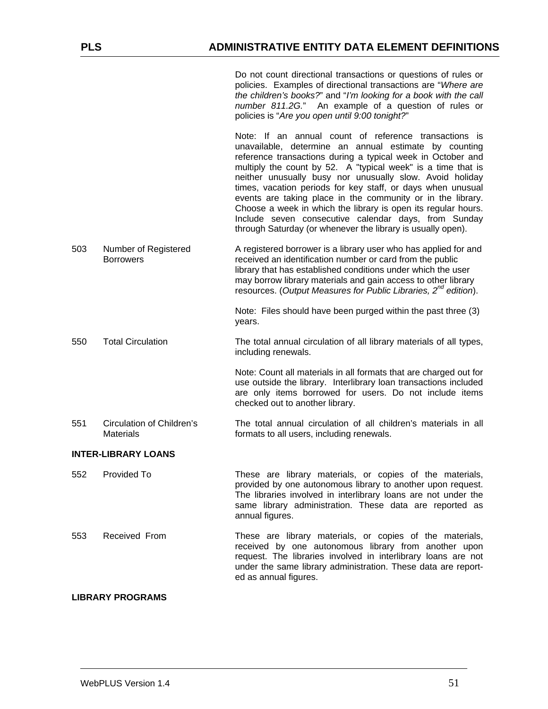|                            |                                                      | Do not count directional transactions or questions of rules or<br>policies. Examples of directional transactions are "Where are<br>the children's books?" and "I'm looking for a book with the call<br>number 811.2G." An example of a question of rules or                                                                                                                                                                                                                                                                                                                                                                     |  |  |
|----------------------------|------------------------------------------------------|---------------------------------------------------------------------------------------------------------------------------------------------------------------------------------------------------------------------------------------------------------------------------------------------------------------------------------------------------------------------------------------------------------------------------------------------------------------------------------------------------------------------------------------------------------------------------------------------------------------------------------|--|--|
|                            |                                                      | policies is "Are you open until 9:00 tonight?"                                                                                                                                                                                                                                                                                                                                                                                                                                                                                                                                                                                  |  |  |
|                            |                                                      | Note: If an annual count of reference transactions is<br>unavailable, determine an annual estimate by counting<br>reference transactions during a typical week in October and<br>multiply the count by 52. A "typical week" is a time that is<br>neither unusually busy nor unusually slow. Avoid holiday<br>times, vacation periods for key staff, or days when unusual<br>events are taking place in the community or in the library.<br>Choose a week in which the library is open its regular hours.<br>Include seven consecutive calendar days, from Sunday<br>through Saturday (or whenever the library is usually open). |  |  |
| 503                        | Number of Registered<br><b>Borrowers</b>             | A registered borrower is a library user who has applied for and<br>received an identification number or card from the public<br>library that has established conditions under which the user<br>may borrow library materials and gain access to other library<br>resources. (Output Measures for Public Libraries, 2 <sup>nd</sup> edition).                                                                                                                                                                                                                                                                                    |  |  |
|                            |                                                      | Note: Files should have been purged within the past three (3)<br>years.                                                                                                                                                                                                                                                                                                                                                                                                                                                                                                                                                         |  |  |
| 550                        | <b>Total Circulation</b>                             | The total annual circulation of all library materials of all types,<br>including renewals.                                                                                                                                                                                                                                                                                                                                                                                                                                                                                                                                      |  |  |
|                            |                                                      | Note: Count all materials in all formats that are charged out for<br>use outside the library. Interlibrary loan transactions included<br>are only items borrowed for users. Do not include items<br>checked out to another library.                                                                                                                                                                                                                                                                                                                                                                                             |  |  |
| 551                        | <b>Circulation of Children's</b><br><b>Materials</b> | The total annual circulation of all children's materials in all<br>formats to all users, including renewals.                                                                                                                                                                                                                                                                                                                                                                                                                                                                                                                    |  |  |
| <b>INTER-LIBRARY LOANS</b> |                                                      |                                                                                                                                                                                                                                                                                                                                                                                                                                                                                                                                                                                                                                 |  |  |
| 552                        | Provided To                                          | These are library materials, or copies of the materials,<br>provided by one autonomous library to another upon request.<br>The libraries involved in interlibrary loans are not under the<br>same library administration. These data are reported as<br>annual figures.                                                                                                                                                                                                                                                                                                                                                         |  |  |
| 553                        | Received From                                        | These are library materials, or copies of the materials,<br>received by one autonomous library from another upon<br>request. The libraries involved in interlibrary loans are not<br>under the same library administration. These data are report-<br>ed as annual figures.                                                                                                                                                                                                                                                                                                                                                     |  |  |

#### **LIBRARY PROGRAMS**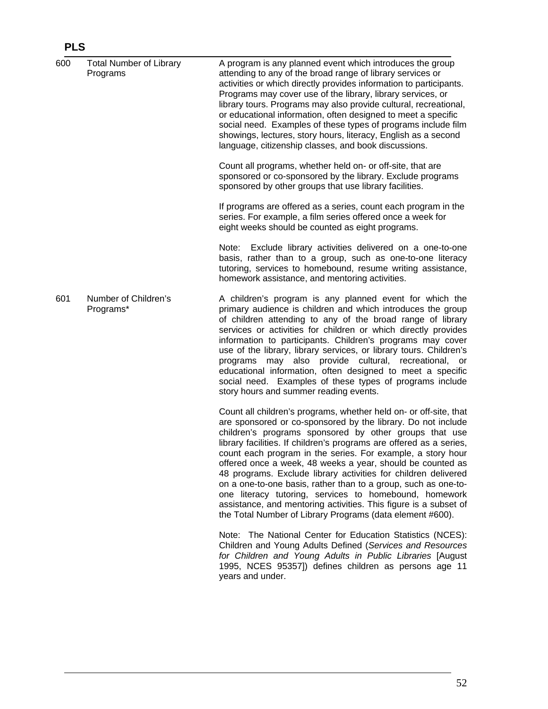# **PLS**

| 600 | <b>Total Number of Library</b><br>Programs | A program is any planned event which introduces the group<br>attending to any of the broad range of library services or<br>activities or which directly provides information to participants.<br>Programs may cover use of the library, library services, or<br>library tours. Programs may also provide cultural, recreational,<br>or educational information, often designed to meet a specific<br>social need. Examples of these types of programs include film<br>showings, lectures, story hours, literacy, English as a second<br>language, citizenship classes, and book discussions.                                                                                                                                   |
|-----|--------------------------------------------|--------------------------------------------------------------------------------------------------------------------------------------------------------------------------------------------------------------------------------------------------------------------------------------------------------------------------------------------------------------------------------------------------------------------------------------------------------------------------------------------------------------------------------------------------------------------------------------------------------------------------------------------------------------------------------------------------------------------------------|
|     |                                            | Count all programs, whether held on- or off-site, that are<br>sponsored or co-sponsored by the library. Exclude programs<br>sponsored by other groups that use library facilities.                                                                                                                                                                                                                                                                                                                                                                                                                                                                                                                                             |
|     |                                            | If programs are offered as a series, count each program in the<br>series. For example, a film series offered once a week for<br>eight weeks should be counted as eight programs.                                                                                                                                                                                                                                                                                                                                                                                                                                                                                                                                               |
|     |                                            | Note: Exclude library activities delivered on a one-to-one<br>basis, rather than to a group, such as one-to-one literacy<br>tutoring, services to homebound, resume writing assistance,<br>homework assistance, and mentoring activities.                                                                                                                                                                                                                                                                                                                                                                                                                                                                                      |
| 601 | Number of Children's<br>Programs*          | A children's program is any planned event for which the<br>primary audience is children and which introduces the group<br>of children attending to any of the broad range of library<br>services or activities for children or which directly provides<br>information to participants. Children's programs may cover<br>use of the library, library services, or library tours. Children's<br>programs may also provide cultural, recreational, or<br>educational information, often designed to meet a specific<br>social need. Examples of these types of programs include<br>story hours and summer reading events.                                                                                                         |
|     |                                            | Count all children's programs, whether held on- or off-site, that<br>are sponsored or co-sponsored by the library. Do not include<br>children's programs sponsored by other groups that use<br>library facilities. If children's programs are offered as a series,<br>count each program in the series. For example, a story hour<br>offered once a week, 48 weeks a year, should be counted as<br>48 programs. Exclude library activities for children delivered<br>on a one-to-one basis, rather than to a group, such as one-to-<br>one literacy tutoring, services to homebound, homework<br>assistance, and mentoring activities. This figure is a subset of<br>the Total Number of Library Programs (data element #600). |
|     |                                            | Note: The National Center for Education Statistics (NCES):<br>Children and Young Adults Defined (Services and Resources<br>for Children and Young Adults in Public Libraries [August<br>1995, NCES 95357]) defines children as persons age 11<br>years and under.                                                                                                                                                                                                                                                                                                                                                                                                                                                              |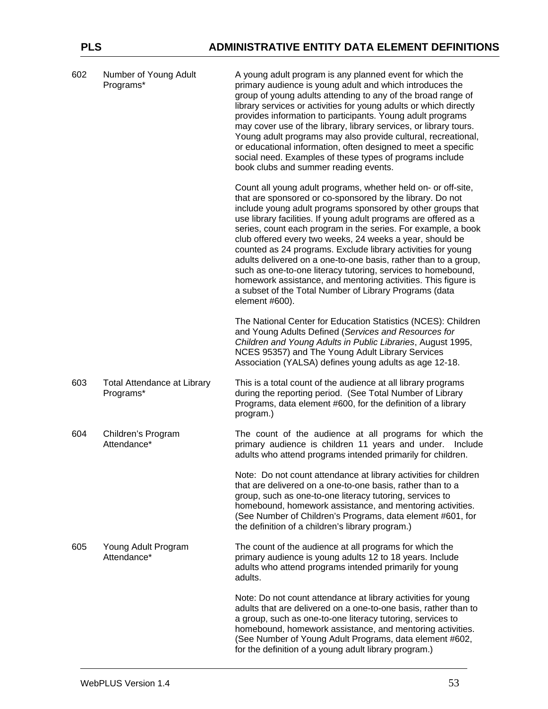| 602 | Number of Young Adult<br>Programs*              | A young adult program is any planned event for which the<br>primary audience is young adult and which introduces the<br>group of young adults attending to any of the broad range of<br>library services or activities for young adults or which directly<br>provides information to participants. Young adult programs<br>may cover use of the library, library services, or library tours.<br>Young adult programs may also provide cultural, recreational,<br>or educational information, often designed to meet a specific<br>social need. Examples of these types of programs include<br>book clubs and summer reading events.                                                                                                        |
|-----|-------------------------------------------------|--------------------------------------------------------------------------------------------------------------------------------------------------------------------------------------------------------------------------------------------------------------------------------------------------------------------------------------------------------------------------------------------------------------------------------------------------------------------------------------------------------------------------------------------------------------------------------------------------------------------------------------------------------------------------------------------------------------------------------------------|
|     |                                                 | Count all young adult programs, whether held on- or off-site,<br>that are sponsored or co-sponsored by the library. Do not<br>include young adult programs sponsored by other groups that<br>use library facilities. If young adult programs are offered as a<br>series, count each program in the series. For example, a book<br>club offered every two weeks, 24 weeks a year, should be<br>counted as 24 programs. Exclude library activities for young<br>adults delivered on a one-to-one basis, rather than to a group,<br>such as one-to-one literacy tutoring, services to homebound,<br>homework assistance, and mentoring activities. This figure is<br>a subset of the Total Number of Library Programs (data<br>element #600). |
|     |                                                 | The National Center for Education Statistics (NCES): Children<br>and Young Adults Defined (Services and Resources for<br>Children and Young Adults in Public Libraries, August 1995,<br>NCES 95357) and The Young Adult Library Services<br>Association (YALSA) defines young adults as age 12-18.                                                                                                                                                                                                                                                                                                                                                                                                                                         |
| 603 | <b>Total Attendance at Library</b><br>Programs* | This is a total count of the audience at all library programs<br>during the reporting period. (See Total Number of Library<br>Programs, data element #600, for the definition of a library<br>program.)                                                                                                                                                                                                                                                                                                                                                                                                                                                                                                                                    |
| 604 | Children's Program<br>Attendance*               | The count of the audience at all programs for which the<br>primary audience is children 11 years and under.<br>Include<br>adults who attend programs intended primarily for children.                                                                                                                                                                                                                                                                                                                                                                                                                                                                                                                                                      |
|     |                                                 | Note: Do not count attendance at library activities for children<br>that are delivered on a one-to-one basis, rather than to a<br>group, such as one-to-one literacy tutoring, services to<br>homebound, homework assistance, and mentoring activities.<br>(See Number of Children's Programs, data element #601, for<br>the definition of a children's library program.)                                                                                                                                                                                                                                                                                                                                                                  |
| 605 | Young Adult Program<br>Attendance*              | The count of the audience at all programs for which the<br>primary audience is young adults 12 to 18 years. Include<br>adults who attend programs intended primarily for young<br>adults.                                                                                                                                                                                                                                                                                                                                                                                                                                                                                                                                                  |
|     |                                                 | Note: Do not count attendance at library activities for young<br>adults that are delivered on a one-to-one basis, rather than to<br>a group, such as one-to-one literacy tutoring, services to<br>homebound, homework assistance, and mentoring activities.<br>(See Number of Young Adult Programs, data element #602,<br>for the definition of a young adult library program.)                                                                                                                                                                                                                                                                                                                                                            |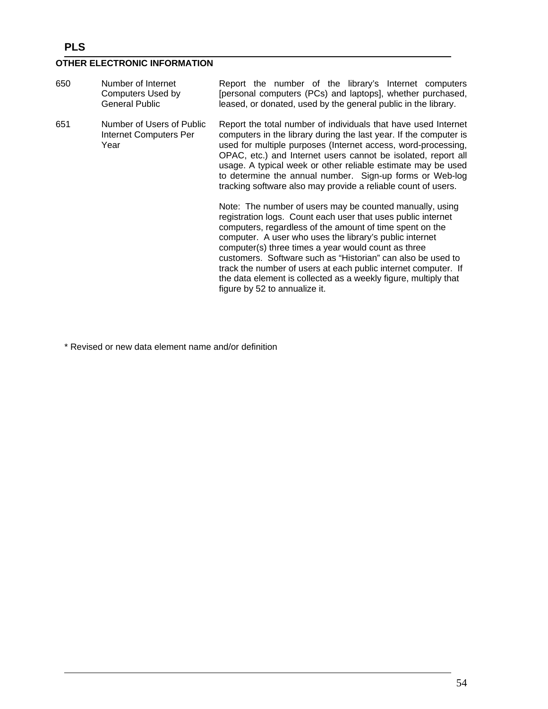# **PLS**

## **OTHER ELECTRONIC INFORMATION**

| 650 | Number of Internet<br>Computers Used by<br><b>General Public</b> | Report the number of the library's Internet computers<br>[personal computers (PCs) and laptops], whether purchased,<br>leased, or donated, used by the general public in the library.                                                                                                                                                                                                                                                                                                                                                                                                                                                                                                                                                                                                                                                                                                                                                                                                                             |
|-----|------------------------------------------------------------------|-------------------------------------------------------------------------------------------------------------------------------------------------------------------------------------------------------------------------------------------------------------------------------------------------------------------------------------------------------------------------------------------------------------------------------------------------------------------------------------------------------------------------------------------------------------------------------------------------------------------------------------------------------------------------------------------------------------------------------------------------------------------------------------------------------------------------------------------------------------------------------------------------------------------------------------------------------------------------------------------------------------------|
| 651 | Number of Users of Public<br>Internet Computers Per<br>Year      | Report the total number of individuals that have used Internet<br>computers in the library during the last year. If the computer is<br>used for multiple purposes (Internet access, word-processing,<br>OPAC, etc.) and Internet users cannot be isolated, report all<br>usage. A typical week or other reliable estimate may be used<br>to determine the annual number. Sign-up forms or Web-log<br>tracking software also may provide a reliable count of users.<br>Note: The number of users may be counted manually, using<br>registration logs. Count each user that uses public internet<br>computers, regardless of the amount of time spent on the<br>computer. A user who uses the library's public internet<br>computer(s) three times a year would count as three<br>customers. Software such as "Historian" can also be used to<br>track the number of users at each public internet computer. If<br>the data element is collected as a weekly figure, multiply that<br>figure by 52 to annualize it. |

\* Revised or new data element name and/or definition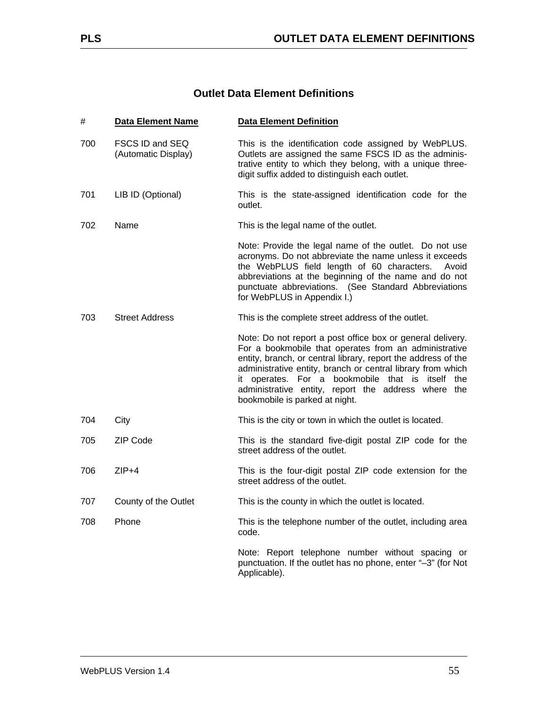## **Outlet Data Element Definitions**

| #   | <b>Data Element Name</b>               | <b>Data Element Definition</b>                                                                                                                                                                                                                                                                                                                                                                         |
|-----|----------------------------------------|--------------------------------------------------------------------------------------------------------------------------------------------------------------------------------------------------------------------------------------------------------------------------------------------------------------------------------------------------------------------------------------------------------|
| 700 | FSCS ID and SEQ<br>(Automatic Display) | This is the identification code assigned by WebPLUS.<br>Outlets are assigned the same FSCS ID as the adminis-<br>trative entity to which they belong, with a unique three-<br>digit suffix added to distinguish each outlet.                                                                                                                                                                           |
| 701 | LIB ID (Optional)                      | This is the state-assigned identification code for the<br>outlet.                                                                                                                                                                                                                                                                                                                                      |
| 702 | Name                                   | This is the legal name of the outlet.                                                                                                                                                                                                                                                                                                                                                                  |
|     |                                        | Note: Provide the legal name of the outlet. Do not use<br>acronyms. Do not abbreviate the name unless it exceeds<br>the WebPLUS field length of 60 characters.<br>Avoid<br>abbreviations at the beginning of the name and do not<br>punctuate abbreviations. (See Standard Abbreviations<br>for WebPLUS in Appendix I.)                                                                                |
| 703 | <b>Street Address</b>                  | This is the complete street address of the outlet.                                                                                                                                                                                                                                                                                                                                                     |
|     |                                        | Note: Do not report a post office box or general delivery.<br>For a bookmobile that operates from an administrative<br>entity, branch, or central library, report the address of the<br>administrative entity, branch or central library from which<br>operates. For a bookmobile that is itself<br>the<br>it<br>administrative entity, report the address where the<br>bookmobile is parked at night. |
| 704 | City                                   | This is the city or town in which the outlet is located.                                                                                                                                                                                                                                                                                                                                               |
| 705 | ZIP Code                               | This is the standard five-digit postal ZIP code for the<br>street address of the outlet.                                                                                                                                                                                                                                                                                                               |
| 706 | $ZIP+4$                                | This is the four-digit postal ZIP code extension for the<br>street address of the outlet.                                                                                                                                                                                                                                                                                                              |
| 707 | County of the Outlet                   | This is the county in which the outlet is located.                                                                                                                                                                                                                                                                                                                                                     |
| 708 | Phone                                  | This is the telephone number of the outlet, including area<br>code.                                                                                                                                                                                                                                                                                                                                    |
|     |                                        | Note: Report telephone number without spacing or<br>punctuation. If the outlet has no phone, enter "-3" (for Not<br>Applicable).                                                                                                                                                                                                                                                                       |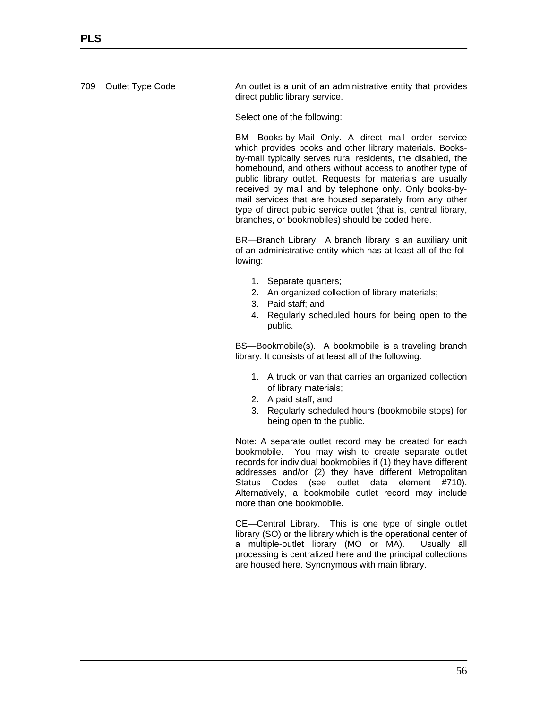709 Outlet Type Code **An outlet is a unit of an administrative entity that provides** direct public library service.

Select one of the following:

BM—Books-by-Mail Only. A direct mail order service which provides books and other library materials. Booksby-mail typically serves rural residents, the disabled, the homebound, and others without access to another type of public library outlet. Requests for materials are usually received by mail and by telephone only. Only books-bymail services that are housed separately from any other type of direct public service outlet (that is, central library, branches, or bookmobiles) should be coded here.

BR—Branch Library. A branch library is an auxiliary unit of an administrative entity which has at least all of the following:

- 1. Separate quarters;
- 2. An organized collection of library materials;
- 3. Paid staff; and
- 4. Regularly scheduled hours for being open to the public.

BS—Bookmobile(s). A bookmobile is a traveling branch library. It consists of at least all of the following:

- 1. A truck or van that carries an organized collection of library materials;
- 2. A paid staff; and
- 3. Regularly scheduled hours (bookmobile stops) for being open to the public.

Note: A separate outlet record may be created for each bookmobile. You may wish to create separate outlet records for individual bookmobiles if (1) they have different addresses and/or (2) they have different Metropolitan Status Codes (see outlet data element #710). Alternatively, a bookmobile outlet record may include more than one bookmobile.

CE—Central Library. This is one type of single outlet library (SO) or the library which is the operational center of a multiple-outlet library (MO or MA). Usually all processing is centralized here and the principal collections are housed here. Synonymous with main library.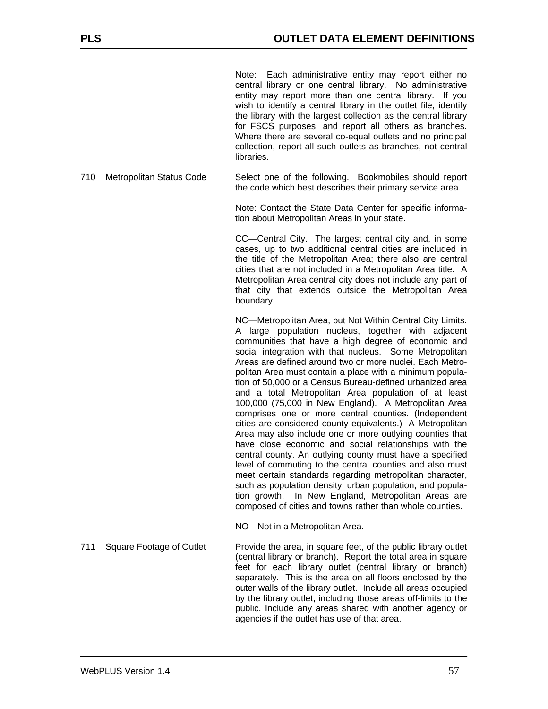Note: Each administrative entity may report either no central library or one central library. No administrative entity may report more than one central library. If you wish to identify a central library in the outlet file, identify the library with the largest collection as the central library for FSCS purposes, and report all others as branches. Where there are several co-equal outlets and no principal collection, report all such outlets as branches, not central **libraries** 

710 Metropolitan Status Code Select one of the following. Bookmobiles should report the code which best describes their primary service area.

> Note: Contact the State Data Center for specific information about Metropolitan Areas in your state.

> CC—Central City. The largest central city and, in some cases, up to two additional central cities are included in the title of the Metropolitan Area; there also are central cities that are not included in a Metropolitan Area title. A Metropolitan Area central city does not include any part of that city that extends outside the Metropolitan Area boundary.

> NC—Metropolitan Area, but Not Within Central City Limits. A large population nucleus, together with adjacent communities that have a high degree of economic and social integration with that nucleus. Some Metropolitan Areas are defined around two or more nuclei. Each Metropolitan Area must contain a place with a minimum population of 50,000 or a Census Bureau-defined urbanized area and a total Metropolitan Area population of at least 100,000 (75,000 in New England). A Metropolitan Area comprises one or more central counties. (Independent cities are considered county equivalents.) A Metropolitan Area may also include one or more outlying counties that have close economic and social relationships with the central county. An outlying county must have a specified level of commuting to the central counties and also must meet certain standards regarding metropolitan character, such as population density, urban population, and population growth. In New England, Metropolitan Areas are composed of cities and towns rather than whole counties.

NO—Not in a Metropolitan Area.

711 Square Footage of Outlet Provide the area, in square feet, of the public library outlet (central library or branch). Report the total area in square feet for each library outlet (central library or branch) separately. This is the area on all floors enclosed by the outer walls of the library outlet. Include all areas occupied by the library outlet, including those areas off-limits to the public. Include any areas shared with another agency or agencies if the outlet has use of that area.